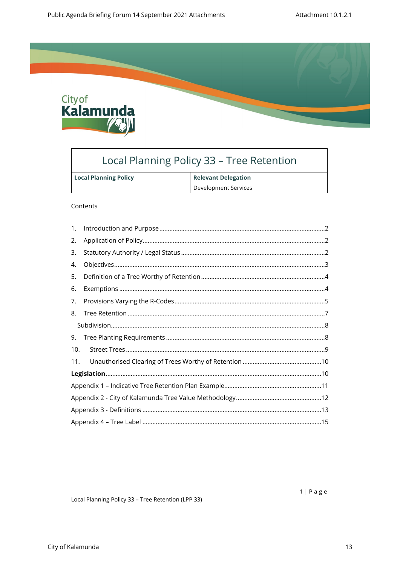

# Local Planning Policy 33 - Tree Retention

| <b>Local Planning Policy</b> | <b>Relevant Delegation</b> |
|------------------------------|----------------------------|
|                              | Development Services       |

#### Contents

| 1.  |  |
|-----|--|
| 2.  |  |
| 3.  |  |
| 4.  |  |
| 5.  |  |
| 6.  |  |
| 7.  |  |
| 8.  |  |
|     |  |
| 9.  |  |
| 10. |  |
| 11. |  |
|     |  |
|     |  |
|     |  |
|     |  |
|     |  |

Local Planning Policy 33 - Tree Retention (LPP 33)

 $1 | P \text{ a } g \text{ e}$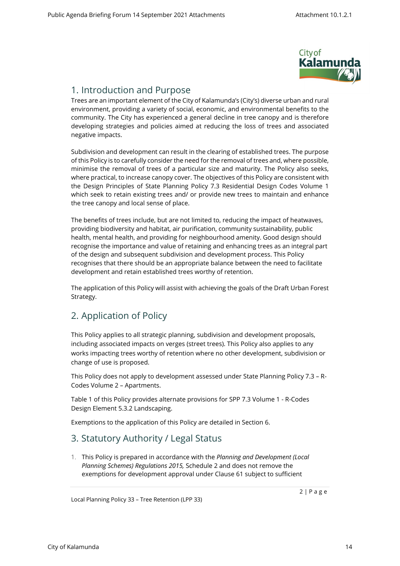

### <span id="page-1-0"></span>1. Introduction and Purpose

Trees are an important element of the City of Kalamunda's (City's) diverse urban and rural environment, providing a variety of social, economic, and environmental benefits to the community. The City has experienced a general decline in tree canopy and is therefore developing strategies and policies aimed at reducing the loss of trees and associated negative impacts.

Subdivision and development can result in the clearing of established trees. The purpose of this Policy is to carefully consider the need for the removal of trees and, where possible, minimise the removal of trees of a particular size and maturity. The Policy also seeks, where practical, to increase canopy cover. The objectives of this Policy are consistent with the Design Principles of State Planning Policy 7.3 Residential Design Codes Volume 1 which seek to retain existing trees and/ or provide new trees to maintain and enhance the tree canopy and local sense of place.

The benefits of trees include, but are not limited to, reducing the impact of heatwaves, providing biodiversity and habitat, air purification, community sustainability, public health, mental health, and providing for neighbourhood amenity. Good design should recognise the importance and value of retaining and enhancing trees as an integral part of the design and subsequent subdivision and development process. This Policy recognises that there should be an appropriate balance between the need to facilitate development and retain established trees worthy of retention.

The application of this Policy will assist with achieving the goals of the Draft Urban Forest Strategy.

## <span id="page-1-1"></span>2. Application of Policy

This Policy applies to all strategic planning, subdivision and development proposals, including associated impacts on verges (street trees). This Policy also applies to any works impacting trees worthy of retention where no other development, subdivision or change of use is proposed.

This Policy does not apply to development assessed under State Planning Policy 7.3 – R-Codes Volume 2 – Apartments.

Table 1 of this Policy provides alternate provisions for SPP 7.3 Volume 1 - R-Codes Design Element 5.3.2 Landscaping.

Exemptions to the application of this Policy are detailed in Section [6.](#page-3-1)

### 3. Statutory Authority / Legal Status

<span id="page-1-2"></span>1. This Policy is prepared in accordance with the *Planning and Development (Local Planning Schemes) Regulations 2015,* Schedule 2 and does not remove the exemptions for development approval under Clause 61 subject to sufficient

Local Planning Policy 33 – Tree Retention (LPP 33)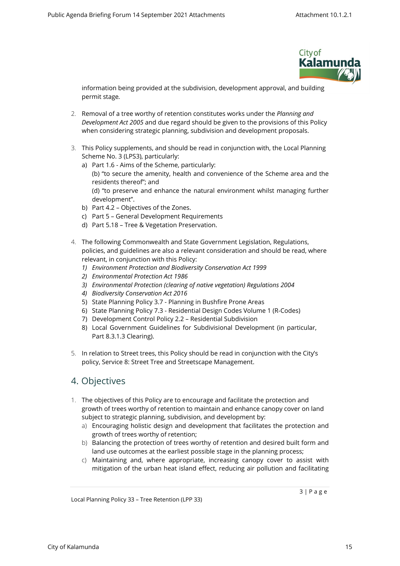

information being provided at the subdivision, development approval, and building permit stage*.* 

- 2. Removal of a tree worthy of retention constitutes works under the *Planning and Development Act 2005* and due regard should be given to the provisions of this Policy when considering strategic planning, subdivision and development proposals.
- 3. This Policy supplements, and should be read in conjunction with, the Local Planning Scheme No. 3 (LPS3), particularly:
	- a) Part 1.6 Aims of the Scheme, particularly: (b) "to secure the amenity, health and convenience of the Scheme area and the residents thereof"; and (d) "to preserve and enhance the natural environment whilst managing further development".
	- b) Part 4.2 Objectives of the Zones.
	- c) Part 5 General Development Requirements
	- d) Part 5.18 Tree & Vegetation Preservation.
- 4. The following Commonwealth and State Government Legislation, Regulations, policies, and guidelines are also a relevant consideration and should be read, where relevant, in conjunction with this Policy:
	- *1) Environment Protection and Biodiversity Conservation Act 1999*
	- *2) Environmental Protection Act 1986*
	- *3) Environmental Protection (clearing of native vegetation) Regulations 2004*
	- *4) Biodiversity Conservation Act 2016*
	- 5) State Planning Policy 3.7 Planning in Bushfire Prone Areas
	- 6) State Planning Policy 7.3 Residential Design Codes Volume 1 (R-Codes)
	- 7) Development Control Policy 2.2 Residential Subdivision
	- 8) Local Government Guidelines for Subdivisional Development (in particular, Part 8.3.1.3 Clearing).
- 5. In relation to Street trees, this Policy should be read in conjunction with the City's policy, Service 8: Street Tree and Streetscape Management.

### 4. Objectives

- <span id="page-2-0"></span>1. The objectives of this Policy are to encourage and facilitate the protection and growth of trees worthy of retention to maintain and enhance canopy cover on land subject to strategic planning, subdivision, and development by:
	- a) Encouraging holistic design and development that facilitates the protection and growth of trees worthy of retention;
	- b) Balancing the protection of trees worthy of retention and desired built form and land use outcomes at the earliest possible stage in the planning process;
	- c) Maintaining and, where appropriate, increasing canopy cover to assist with mitigation of the urban heat island effect, reducing air pollution and facilitating

Local Planning Policy 33 – Tree Retention (LPP 33)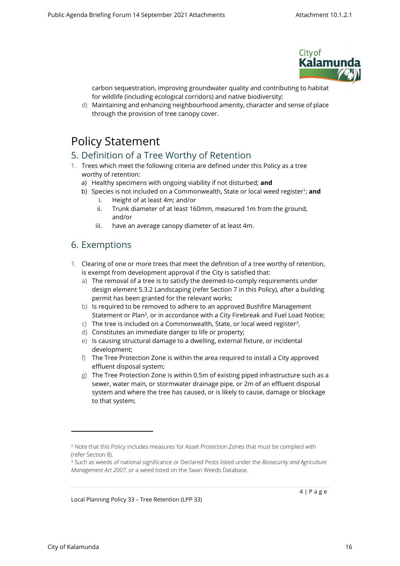

carbon sequestration, improving groundwater quality and contributing to habitat for wildlife (including ecological corridors) and native biodiversity;

d) Maintaining and enhancing neighbourhood amenity, character and sense of place through the provision of tree canopy cover.

# <span id="page-3-0"></span>Policy Statement

### 5. Definition of a Tree Worthy of Retention

- 1. Trees which meet the following criteria are defined under this Policy as a tree worthy of retention:
	- a) Healthy specimens with ongoing viability if not disturbed; **and**
	- b) Species is not included on a Commonwealth, State or local weed register<sup>1</sup>; **and** 
		- i. Height of at least 4m; and/or
		- ii. Trunk diameter of at least 160mm, measured 1m from the ground, and/or
		- iii. have an average canopy diameter of at least 4m.

### <span id="page-3-1"></span>6. Exemptions

- 1. Clearing of one or more trees that meet the definition of a tree worthy of retention, is exempt from development approval if the City is satisfied that:
	- a) The removal of a tree is to satisfy the deemed-to-comply requirements under design element 5.3.2 Landscaping (refer Section [7](#page-4-0) in this Policy), after a building permit has been granted for the relevant works;
	- b) Is required to be removed to adhere to an approved Bushfire Management Statement or Plan<sup>2</sup>, or in accordance with a City Firebreak and Fuel Load Notice;
	- $\epsilon$ ) The tree is included on a Commonwealth, State, or local weed register<sup>3</sup>,
	- d) Constitutes an immediate danger to life or property;
	- e) Is causing structural damage to a dwelling, external fixture, or incidental development;
	- f) The Tree Protection Zone is within the area required to install a City approved effluent disposal system;
	- g) The Tree Protection Zone is within 0.5m of existing piped infrastructure such as a sewer, water main, or stormwater drainage pipe, or 2m of an effluent disposal system and where the tree has caused, or is likely to cause, damage or blockage to that system;

Local Planning Policy 33 – Tree Retention (LPP 33)

<sup>&</sup>lt;sup>2</sup> Note that this Policy includes measures for Asset Protection Zones that must be complied with (refer Section [8](#page-6-0)).

<sup>3</sup> Such as weeds of national significance or Declared Pests listed under the *Biosecurity and Agriculture Management Act 2007*, or a weed listed on the Swan Weeds Database.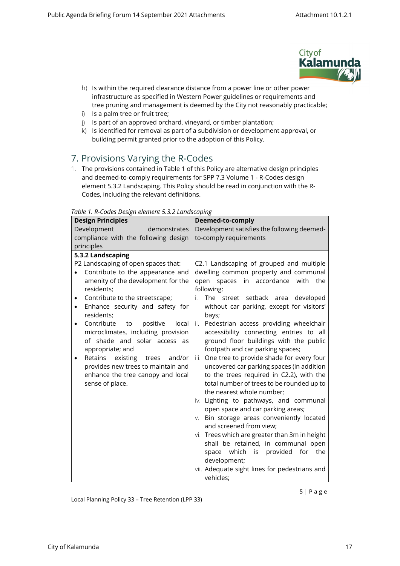

- h) Is within the required clearance distance from a power line or other power infrastructure as specified in Western Power guidelines or requirements and tree pruning and management is deemed by the City not reasonably practicable;
- i) Is a palm tree or fruit tree;
- j) Is part of an approved orchard, vineyard, or timber plantation;
- <span id="page-4-0"></span>k) Is identified for removal as part of a subdivision or development approval, or building permit granted prior to the adoption of this Policy.

## 7. Provisions Varying the R-Codes

1. The provisions contained in Table 1 of this Policy are alternative design principles and deemed-to-comply requirements for SPP 7.3 Volume 1 - R-Codes design element 5.3.2 Landscaping. This Policy should be read in conjunction with the R-Codes, including the relevant definitions.

| abic <i>i.i</i> coucs <i>Design</i> cie <i>ment sisiz Lanuscaping</i><br><b>Design Principles</b>                                                                                                                                                                                                                                                                                                                                                                                                                                          | Deemed-to-comply                                                                                                                                                                                                                                                                                                                                                                                                                                                                                                                                                                                                                                                                                                                                                                                                                                                                                                                                         |  |
|--------------------------------------------------------------------------------------------------------------------------------------------------------------------------------------------------------------------------------------------------------------------------------------------------------------------------------------------------------------------------------------------------------------------------------------------------------------------------------------------------------------------------------------------|----------------------------------------------------------------------------------------------------------------------------------------------------------------------------------------------------------------------------------------------------------------------------------------------------------------------------------------------------------------------------------------------------------------------------------------------------------------------------------------------------------------------------------------------------------------------------------------------------------------------------------------------------------------------------------------------------------------------------------------------------------------------------------------------------------------------------------------------------------------------------------------------------------------------------------------------------------|--|
| Development<br>demonstrates                                                                                                                                                                                                                                                                                                                                                                                                                                                                                                                | Development satisfies the following deemed-                                                                                                                                                                                                                                                                                                                                                                                                                                                                                                                                                                                                                                                                                                                                                                                                                                                                                                              |  |
| compliance with the following design                                                                                                                                                                                                                                                                                                                                                                                                                                                                                                       | to-comply requirements                                                                                                                                                                                                                                                                                                                                                                                                                                                                                                                                                                                                                                                                                                                                                                                                                                                                                                                                   |  |
| principles                                                                                                                                                                                                                                                                                                                                                                                                                                                                                                                                 |                                                                                                                                                                                                                                                                                                                                                                                                                                                                                                                                                                                                                                                                                                                                                                                                                                                                                                                                                          |  |
| 5.3.2 Landscaping<br>P2 Landscaping of open spaces that:<br>Contribute to the appearance and<br>amenity of the development for the<br>residents;<br>Contribute to the streetscape;<br>٠<br>Enhance security and safety for<br>$\bullet$<br>residents;<br>Contribute<br>positive<br>to<br>local<br>$\bullet$<br>microclimates, including provision<br>of shade and solar access as<br>appropriate; and<br>Retains<br>existing<br>trees and/or<br>provides new trees to maintain and<br>enhance the tree canopy and local<br>sense of place. | C2.1 Landscaping of grouped and multiple<br>dwelling common property and communal<br>open spaces in accordance with<br>the<br>following:<br>The street setback area<br>developed<br>i.<br>without car parking, except for visitors'<br>bays;<br>Pedestrian access providing wheelchair<br>ii.<br>accessibility connecting entries to all<br>ground floor buildings with the public<br>footpath and car parking spaces;<br>One tree to provide shade for every four<br>iii.<br>uncovered car parking spaces (in addition<br>to the trees required in C2.2), with the<br>total number of trees to be rounded up to<br>the nearest whole number;<br>iv. Lighting to pathways, and communal<br>open space and car parking areas;<br>Bin storage areas conveniently located<br>V.<br>and screened from view;<br>vi. Trees which are greater than 3m in height<br>shall be retained, in communal open<br>space which is provided<br>for<br>the<br>development; |  |
|                                                                                                                                                                                                                                                                                                                                                                                                                                                                                                                                            | vii. Adequate sight lines for pedestrians and<br>vehicles;                                                                                                                                                                                                                                                                                                                                                                                                                                                                                                                                                                                                                                                                                                                                                                                                                                                                                               |  |

*Table 1. R-Codes Design element 5.3.2 Landscaping*

Local Planning Policy 33 – Tree Retention (LPP 33)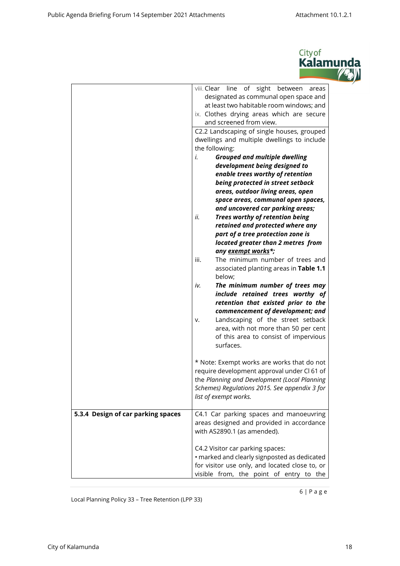

|                                    | line of sight between<br>viii. Clear<br>areas<br>designated as communal open space and<br>at least two habitable room windows; and<br>ix. Clothes drying areas which are secure<br>and screened from view.<br>C2.2 Landscaping of single houses, grouped<br>dwellings and multiple dwellings to include<br>the following:<br><b>Grouped and multiple dwelling</b><br>i.<br>development being designed to<br>enable trees worthy of retention<br>being protected in street setback<br>areas, outdoor living areas, open<br>space areas, communal open spaces,<br>and uncovered car parking areas;<br>Trees worthy of retention being<br>ii.<br>retained and protected where any<br>part of a tree protection zone is<br>located greater than 2 metres from<br>any exempt works*;<br>iii.<br>The minimum number of trees and<br>associated planting areas in Table 1.1<br>below;<br>The minimum number of trees may<br>iv.<br>include retained trees worthy of<br>retention that existed prior to the<br>commencement of development; and<br>Landscaping of the street setback<br>v.<br>area, with not more than 50 per cent<br>of this area to consist of impervious<br>surfaces.<br>* Note: Exempt works are works that do not<br>require development approval under CI 61 of<br>the Planning and Development (Local Planning<br>Schemes) Regulations 2015. See appendix 3 for |
|------------------------------------|--------------------------------------------------------------------------------------------------------------------------------------------------------------------------------------------------------------------------------------------------------------------------------------------------------------------------------------------------------------------------------------------------------------------------------------------------------------------------------------------------------------------------------------------------------------------------------------------------------------------------------------------------------------------------------------------------------------------------------------------------------------------------------------------------------------------------------------------------------------------------------------------------------------------------------------------------------------------------------------------------------------------------------------------------------------------------------------------------------------------------------------------------------------------------------------------------------------------------------------------------------------------------------------------------------------------------------------------------------------------------------|
|                                    | list of exempt works.                                                                                                                                                                                                                                                                                                                                                                                                                                                                                                                                                                                                                                                                                                                                                                                                                                                                                                                                                                                                                                                                                                                                                                                                                                                                                                                                                          |
| 5.3.4 Design of car parking spaces | C4.1 Car parking spaces and manoeuvring<br>areas designed and provided in accordance<br>with AS2890.1 (as amended).                                                                                                                                                                                                                                                                                                                                                                                                                                                                                                                                                                                                                                                                                                                                                                                                                                                                                                                                                                                                                                                                                                                                                                                                                                                            |
|                                    | C4.2 Visitor car parking spaces:<br>· marked and clearly signposted as dedicated<br>for visitor use only, and located close to, or<br>visible from, the point of entry to the                                                                                                                                                                                                                                                                                                                                                                                                                                                                                                                                                                                                                                                                                                                                                                                                                                                                                                                                                                                                                                                                                                                                                                                                  |

Local Planning Policy 33 – Tree Retention (LPP 33)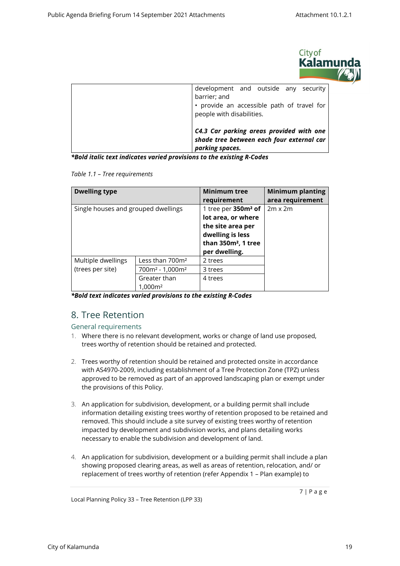

| development and outside any security<br>barrier; and<br>• provide an accessible path of travel for<br>people with disabilities. |
|---------------------------------------------------------------------------------------------------------------------------------|
| C4.3 Car parking areas provided with one<br>shade tree between each four external car<br>parking spaces.                        |

*\*Bold italic text indicates varied provisions to the existing R-Codes*

*Table 1.1 – Tree requirements*

| <b>Dwelling type</b>                |                             | <b>Minimum tree</b>             | <b>Minimum planting</b> |
|-------------------------------------|-----------------------------|---------------------------------|-------------------------|
|                                     |                             | requirement                     | area requirement        |
| Single houses and grouped dwellings |                             | 1 tree per 350m <sup>2</sup> of | $2m \times 2m$          |
|                                     |                             | lot area, or where              |                         |
|                                     |                             | the site area per               |                         |
|                                     |                             | dwelling is less                |                         |
|                                     |                             | than 350m <sup>2</sup> , 1 tree |                         |
|                                     |                             | per dwelling.                   |                         |
| Multiple dwellings                  | Less than 700m <sup>2</sup> | 2 trees                         |                         |
| (trees per site)                    | $700m^2 - 1,000m^2$         | 3 trees                         |                         |
|                                     | Greater than                | 4 trees                         |                         |
|                                     | 1.000m <sup>2</sup>         |                                 |                         |

*\*Bold text indicates varied provisions to the existing R-Codes*

### <span id="page-6-0"></span>8. Tree Retention

General requirements

- 1. Where there is no relevant development, works or change of land use proposed, trees worthy of retention should be retained and protected.
- 2. Trees worthy of retention should be retained and protected onsite in accordance with AS4970-2009, including establishment of a Tree Protection Zone (TPZ) unless approved to be removed as part of an approved landscaping plan or exempt under the provisions of this Policy.
- 3. An application for subdivision, development, or a building permit shall include information detailing existing trees worthy of retention proposed to be retained and removed. This should include a site survey of existing trees worthy of retention impacted by development and subdivision works, and plans detailing works necessary to enable the subdivision and development of land.
- 4. An application for subdivision, development or a building permit shall include a plan showing proposed clearing areas, as well as areas of retention, relocation, and/ or replacement of trees worthy of retention (refer Appendix 1 – Plan example) to

Local Planning Policy 33 – Tree Retention (LPP 33)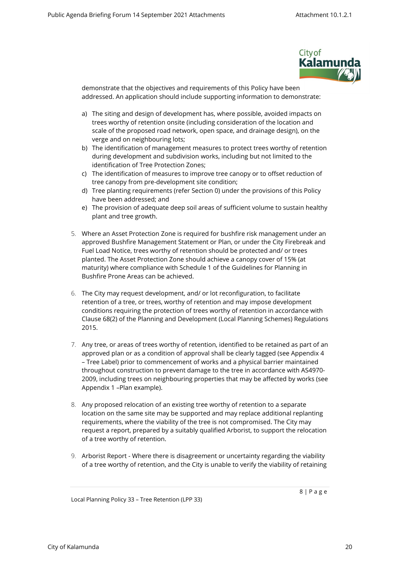

demonstrate that the objectives and requirements of this Policy have been addressed. An application should include supporting information to demonstrate:

- a) The siting and design of development has, where possible, avoided impacts on trees worthy of retention onsite (including consideration of the location and scale of the proposed road network, open space, and drainage design), on the verge and on neighbouring lots;
- b) The identification of management measures to protect trees worthy of retention during development and subdivision works, including but not limited to the identification of Tree Protection Zones;
- c) The identification of measures to improve tree canopy or to offset reduction of tree canopy from pre-development site condition;
- d) Tree planting requirements (refer Section [0\)](#page-8-0) under the provisions of this Policy have been addressed; and
- e) The provision of adequate deep soil areas of sufficient volume to sustain healthy plant and tree growth.
- 5. Where an Asset Protection Zone is required for bushfire risk management under an approved Bushfire Management Statement or Plan, or under the City Firebreak and Fuel Load Notice, trees worthy of retention should be protected and/ or trees planted. The Asset Protection Zone should achieve a canopy cover of 15% (at maturity) where compliance with Schedule 1 of the Guidelines for Planning in Bushfire Prone Areas can be achieved.
- 6. The City may request development, and/ or lot reconfiguration, to facilitate retention of a tree, or trees, worthy of retention and may impose development conditions requiring the protection of trees worthy of retention in accordance with Clause 68(2) of the Planning and Development (Local Planning Schemes) Regulations 2015.
- 7. Any tree, or areas of trees worthy of retention, identified to be retained as part of an approved plan or as a condition of approval shall be clearly tagged (see Appendix 4 – Tree Label) prior to commencement of works and a physical barrier maintained throughout construction to prevent damage to the tree in accordance with AS4970- 2009, including trees on neighbouring properties that may be affected by works (see Appendix 1 –Plan example).
- 8. Any proposed relocation of an existing tree worthy of retention to a separate location on the same site may be supported and may replace additional replanting requirements, where the viability of the tree is not compromised. The City may request a report, prepared by a suitably qualified Arborist, to support the relocation of a tree worthy of retention.
- 9. Arborist Report Where there is disagreement or uncertainty regarding the viability of a tree worthy of retention, and the City is unable to verify the viability of retaining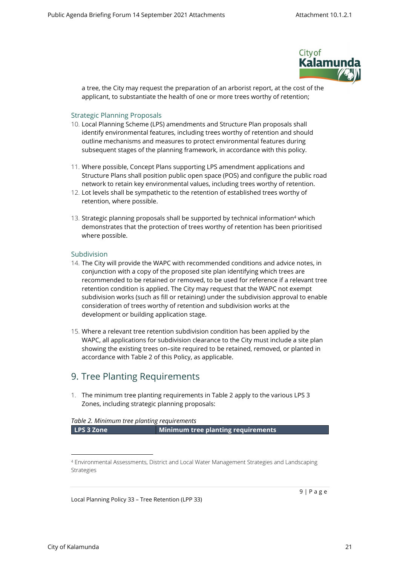

a tree, the City may request the preparation of an arborist report, at the cost of the applicant, to substantiate the health of one or more trees worthy of retention;

#### Strategic Planning Proposals

- 10. Local Planning Scheme (LPS) amendments and Structure Plan proposals shall identify environmental features, including trees worthy of retention and should outline mechanisms and measures to protect environmental features during subsequent stages of the planning framework, in accordance with this policy.
- 11. Where possible, Concept Plans supporting LPS amendment applications and Structure Plans shall position public open space (POS) and configure the public road network to retain key environmental values, including trees worthy of retention.
- 12. Lot levels shall be sympathetic to the retention of established trees worthy of retention, where possible.
- 13. Strategic planning proposals shall be supported by technical information<sup>4</sup> which demonstrates that the protection of trees worthy of retention has been prioritised where possible.

#### <span id="page-8-0"></span>Subdivision

- 14. The City will provide the WAPC with recommended conditions and advice notes, in conjunction with a copy of the proposed site plan identifying which trees are recommended to be retained or removed, to be used for reference if a relevant tree retention condition is applied. The City may request that the WAPC not exempt subdivision works (such as fill or retaining) under the subdivision approval to enable consideration of trees worthy of retention and subdivision works at the development or building application stage.
- 15. Where a relevant tree retention subdivision condition has been applied by the WAPC, all applications for subdivision clearance to the City must include a site plan showing the existing trees on–site required to be retained, removed, or planted in accordance with Table 2 of this Policy, as applicable.

### 9. Tree Planting Requirements

<span id="page-8-1"></span>1. The minimum tree planting requirements in Table 2 apply to the various LPS 3 Zones, including strategic planning proposals:

#### *Table 2. Minimum tree planting requirements*

**LPS 3 Zone Minimum tree planting requirements**

Local Planning Policy 33 – Tree Retention (LPP 33)

<sup>4</sup> Environmental Assessments, District and Local Water Management Strategies and Landscaping Strategies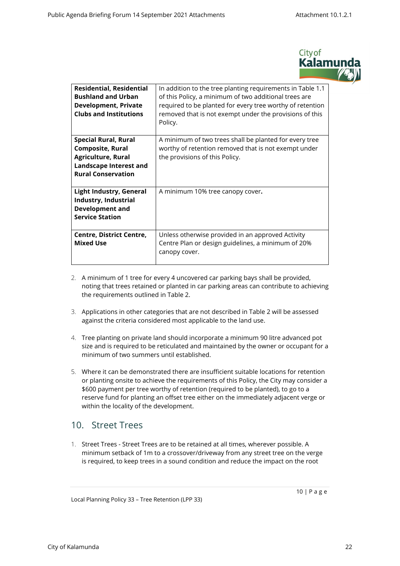

| <b>Residential, Residential</b><br><b>Bushland and Urban</b><br>Development, Private<br><b>Clubs and Institutions</b>                             | In addition to the tree planting requirements in Table 1.1<br>of this Policy, a minimum of two additional trees are<br>required to be planted for every tree worthy of retention<br>removed that is not exempt under the provisions of this<br>Policy. |
|---------------------------------------------------------------------------------------------------------------------------------------------------|--------------------------------------------------------------------------------------------------------------------------------------------------------------------------------------------------------------------------------------------------------|
| <b>Special Rural, Rural</b><br><b>Composite, Rural</b><br><b>Agriculture, Rural</b><br><b>Landscape Interest and</b><br><b>Rural Conservation</b> | A minimum of two trees shall be planted for every tree<br>worthy of retention removed that is not exempt under<br>the provisions of this Policy.                                                                                                       |
| <b>Light Industry, General</b><br>Industry, Industrial<br><b>Development and</b><br><b>Service Station</b>                                        | A minimum 10% tree canopy cover.                                                                                                                                                                                                                       |
| <b>Centre, District Centre,</b><br><b>Mixed Use</b>                                                                                               | Unless otherwise provided in an approved Activity<br>Centre Plan or design guidelines, a minimum of 20%<br>canopy cover.                                                                                                                               |

- 2. A minimum of 1 tree for every 4 uncovered car parking bays shall be provided, noting that trees retained or planted in car parking areas can contribute to achieving the requirements outlined in Table 2.
- 3. Applications in other categories that are not described in Table 2 will be assessed against the criteria considered most applicable to the land use.
- 4. Tree planting on private land should incorporate a minimum 90 litre advanced pot size and is required to be reticulated and maintained by the owner or occupant for a minimum of two summers until established.
- 5. Where it can be demonstrated there are insufficient suitable locations for retention or planting onsite to achieve the requirements of this Policy, the City may consider a \$600 payment per tree worthy of retention (required to be planted), to go to a reserve fund for planting an offset tree either on the immediately adjacent verge or within the locality of the development.

### 10. Street Trees

<span id="page-9-0"></span>1. Street Trees - Street Trees are to be retained at all times, wherever possible. A minimum setback of 1m to a crossover/driveway from any street tree on the verge is required, to keep trees in a sound condition and reduce the impact on the root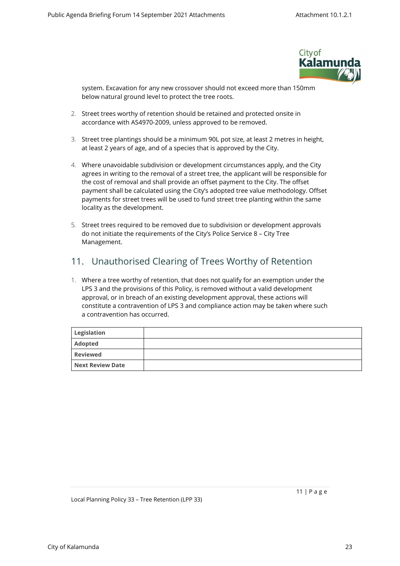

system. Excavation for any new crossover should not exceed more than 150mm below natural ground level to protect the tree roots.

- 2. Street trees worthy of retention should be retained and protected onsite in accordance with AS4970-2009, unless approved to be removed.
- 3. Street tree plantings should be a minimum 90L pot size, at least 2 metres in height, at least 2 years of age, and of a species that is approved by the City.
- 4. Where unavoidable subdivision or development circumstances apply, and the City agrees in writing to the removal of a street tree, the applicant will be responsible for the cost of removal and shall provide an offset payment to the City. The offset payment shall be calculated using the City's adopted tree value methodology. Offset payments for street trees will be used to fund street tree planting within the same locality as the development.
- 5. Street trees required to be removed due to subdivision or development approvals do not initiate the requirements of the City's Police Service 8 – City Tree Management.

### <span id="page-10-0"></span>11. Unauthorised Clearing of Trees Worthy of Retention

1. Where a tree worthy of retention, that does not qualify for an exemption under the LPS 3 and the provisions of this Policy, is removed without a valid development approval, or in breach of an existing development approval, these actions will constitute a contravention of LPS 3 and compliance action may be taken where such a contravention has occurred.

<span id="page-10-1"></span>

| Legislation      |  |
|------------------|--|
| Adopted          |  |
| <b>Reviewed</b>  |  |
| Next Review Date |  |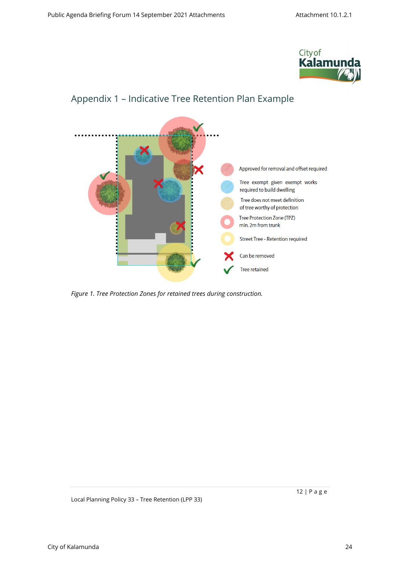



# <span id="page-11-0"></span>Appendix 1 – Indicative Tree Retention Plan Example

*Figure 1. Tree Protection Zones for retained trees during construction.*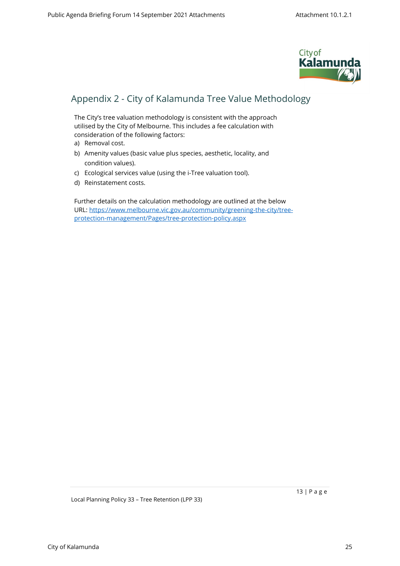

# <span id="page-12-0"></span>Appendix 2 - City of Kalamunda Tree Value Methodology

The City's tree valuation methodology is consistent with the approach utilised by the City of Melbourne. This includes a fee calculation with consideration of the following factors:

- a) Removal cost.
- b) Amenity values (basic value plus species, aesthetic, locality, and condition values).
- c) Ecological services value (using the i-Tree valuation tool).
- d) Reinstatement costs.

Further details on the calculation methodology are outlined at the below URL: [https://www.melbourne.vic.gov.au/community/greening-the-city/tree](https://www.melbourne.vic.gov.au/community/greening-the-city/tree-protection-management/Pages/tree-protection-policy.aspx)[protection-management/Pages/tree-protection-policy.aspx](https://www.melbourne.vic.gov.au/community/greening-the-city/tree-protection-management/Pages/tree-protection-policy.aspx)

Local Planning Policy 33 – Tree Retention (LPP 33)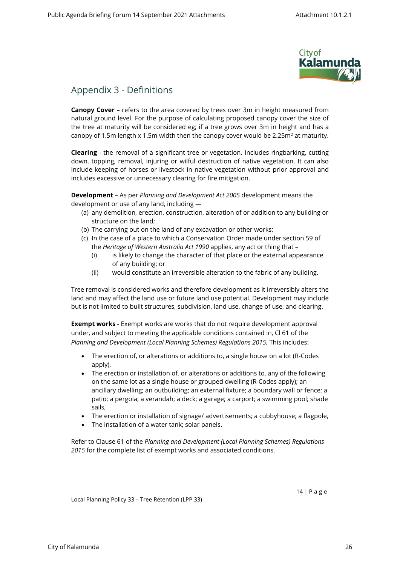

### <span id="page-13-0"></span>Appendix 3 - Definitions

**Canopy Cover –** refers to the area covered by trees over 3m in height measured from natural ground level. For the purpose of calculating proposed canopy cover the size of the tree at maturity will be considered eg; if a tree grows over 3m in height and has a canopy of 1.5m length x 1.5m width then the canopy cover would be 2.25m $^2$  at maturity.

**Clearing** - the removal of a significant tree or vegetation. Includes ringbarking, cutting down, topping, removal, injuring or wilful destruction of native vegetation. It can also include keeping of horses or livestock in native vegetation without prior approval and includes excessive or unnecessary clearing for fire mitigation.

**Development** – As per *Planning and Development Act 2005* development means the development or use of any land, including —

- (a) any demolition, erection, construction, alteration of or addition to any building or structure on the land;
- (b) The carrying out on the land of any excavation or other works;
- (c) In the case of a place to which a Conservation Order made under section 59 of the *Heritage of Western Australia Act 1990* applies, any act or thing that –
	- (i) is likely to change the character of that place or the external appearance of any building; or
	- (ii) would constitute an irreversible alteration to the fabric of any building.

Tree removal is considered works and therefore development as it irreversibly alters the land and may affect the land use or future land use potential. Development may include but is not limited to built structures, subdivision, land use, change of use, and clearing.

**Exempt works -** Exempt works are works that do not require development approval under, and subject to meeting the applicable conditions contained in, Cl 61 of the *Planning and Development (Local Planning Schemes) Regulations 2015.* This includes:

- The erection of, or alterations or additions to, a single house on a lot (R-Codes apply),
- The erection or installation of, or alterations or additions to, any of the following on the same lot as a single house or grouped dwelling (R-Codes apply); an ancillary dwelling; an outbuilding; an external fixture; a boundary wall or fence; a patio; a pergola; a verandah; a deck; a garage; a carport; a swimming pool; shade sails,
- The erection or installation of signage/ advertisements; a cubbyhouse; a flagpole,
- The installation of a water tank; solar panels.

Refer to Clause 61 of the *Planning and Development (Local Planning Schemes) Regulations 2015* for the complete list of exempt works and associated conditions.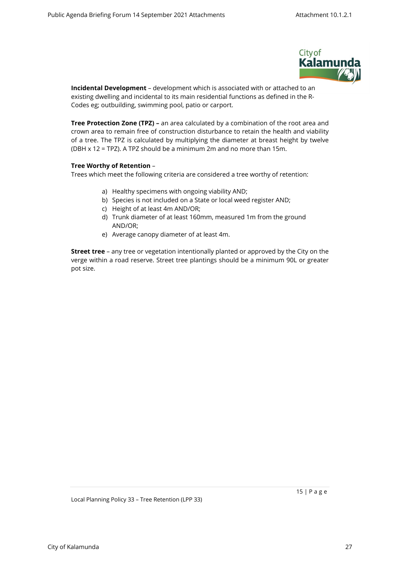

**Incidental Development** – development which is associated with or attached to an existing dwelling and incidental to its main residential functions as defined in the R-Codes eg; outbuilding, swimming pool, patio or carport.

**Tree Protection Zone (TPZ) –** an area calculated by a combination of the root area and crown area to remain free of construction disturbance to retain the health and viability of a tree. The TPZ is calculated by multiplying the diameter at breast height by twelve (DBH x 12 = TPZ). A TPZ should be a minimum 2m and no more than 15m.

#### **Tree Worthy of Retention** –

Trees which meet the following criteria are considered a tree worthy of retention:

- a) Healthy specimens with ongoing viability AND;
- b) Species is not included on a State or local weed register AND;
- c) Height of at least 4m AND/OR;
- d) Trunk diameter of at least 160mm, measured 1m from the ground AND/OR;
- e) Average canopy diameter of at least 4m.

**Street tree** – any tree or vegetation intentionally planted or approved by the City on the verge within a road reserve. Street tree plantings should be a minimum 90L or greater pot size.